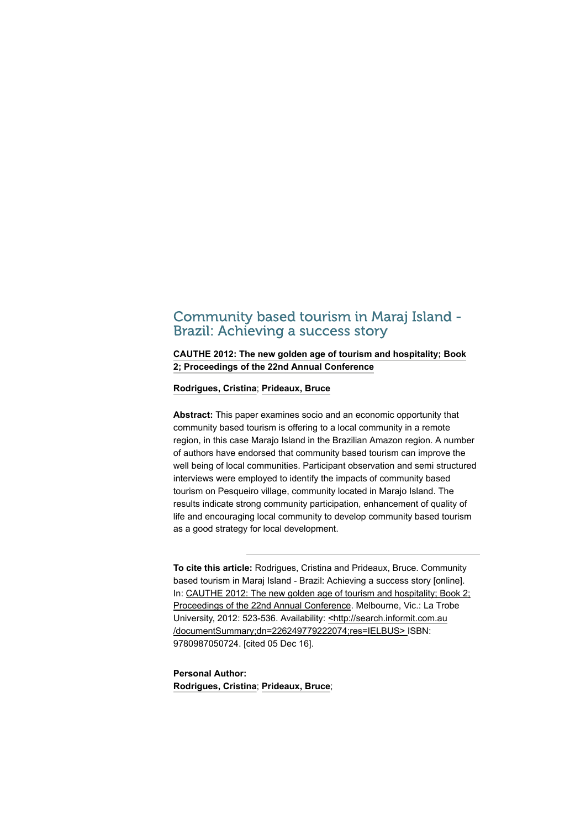## Community based tourism in Maraj Island -**Brazil: Achieving a success story**

## **CAUTHE 2012: The new golden age of tourism and hospitality; Book 2; Proceedings of the 22nd Annual Conference**

## **Rodrigues, Cristina**; **Prideaux, Bruce**

**Abstract:** This paper examines socio and an economic opportunity that community based tourism is offering to a local community in a remote region, in this case Marajo Island in the Brazilian Amazon region. A number of authors have endorsed that community based tourism can improve the well being of local communities. Participant observation and semi structured interviews were employed to identify the impacts of community based tourism on Pesqueiro village, community located in Marajo Island. The results indicate strong community participation, enhancement of quality of life and encouraging local community to develop community based tourism as a good strategy for local development.

**To cite this article:** Rodrigues, Cristina and Prideaux, Bruce. Community based tourism in Maraj Island - Brazil: Achieving a success story [online]. In: CAUTHE 2012: The new golden age of tourism and hospitality; Book 2; Proceedings of the 22nd Annual Conference. Melbourne, Vic.: La Trobe University, 2012: 523-536. Availability: <http://search.informit.com.au /documentSummary;dn=226249779222074;res=IELBUS> ISBN: 9780987050724. [cited 05 Dec 16].

**Personal Author: Rodrigues, Cristina**; **Prideaux, Bruce**;